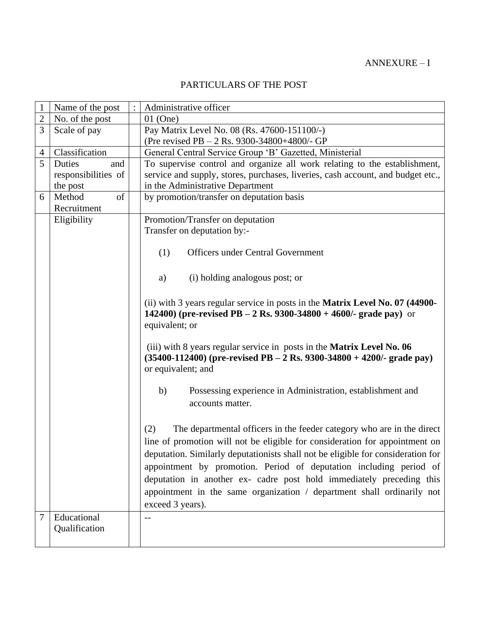# PARTICULARS OF THE POST

| $\mathbf{1}$   | Name of the post    | Administrative officer                                                               |
|----------------|---------------------|--------------------------------------------------------------------------------------|
| $\overline{c}$ | No. of the post     | $01$ (One)                                                                           |
| 3              | Scale of pay        | Pay Matrix Level No. 08 (Rs. 47600-151100/-)                                         |
|                |                     | (Pre revised PB $-2$ Rs. 9300-34800+4800/- GP                                        |
| $\overline{4}$ | Classification      | General Central Service Group 'B' Gazetted, Ministerial                              |
| 5              | Duties<br>and       | To supervise control and organize all work relating to the establishment,            |
|                | responsibilities of | service and supply, stores, purchases, liveries, cash account, and budget etc.,      |
|                | the post            | in the Administrative Department                                                     |
| 6              | Method<br>of        | by promotion/transfer on deputation basis                                            |
|                | Recruitment         |                                                                                      |
|                | Eligibility         | Promotion/Transfer on deputation                                                     |
|                |                     | Transfer on deputation by:-                                                          |
|                |                     |                                                                                      |
|                |                     | <b>Officers under Central Government</b><br>(1)                                      |
|                |                     |                                                                                      |
|                |                     | (i) holding analogous post; or<br>a)                                                 |
|                |                     |                                                                                      |
|                |                     | (ii) with 3 years regular service in posts in the <b>Matrix Level No. 07 (44900-</b> |
|                |                     | 142400) (pre-revised PB - 2 Rs. 9300-34800 + 4600/- grade pay) or                    |
|                |                     | equivalent; or                                                                       |
|                |                     |                                                                                      |
|                |                     | (iii) with 8 years regular service in posts in the Matrix Level No. 06               |
|                |                     | $(35400-112400)$ (pre-revised PB – 2 Rs. 9300-34800 + 4200/- grade pay)              |
|                |                     | or equivalent; and                                                                   |
|                |                     |                                                                                      |
|                |                     | b)<br>Possessing experience in Administration, establishment and                     |
|                |                     | accounts matter.                                                                     |
|                |                     |                                                                                      |
|                |                     |                                                                                      |
|                |                     | (2)<br>The departmental officers in the feeder category who are in the direct        |
|                |                     | line of promotion will not be eligible for consideration for appointment on          |
|                |                     | deputation. Similarly deputationists shall not be eligible for consideration for     |
|                |                     | appointment by promotion. Period of deputation including period of                   |
|                |                     | deputation in another ex- cadre post hold immediately preceding this                 |
|                |                     | appointment in the same organization / department shall ordinarily not               |
|                |                     | exceed 3 years).                                                                     |
| 7              | Educational         | $-$                                                                                  |
|                | Qualification       |                                                                                      |
|                |                     |                                                                                      |
|                |                     |                                                                                      |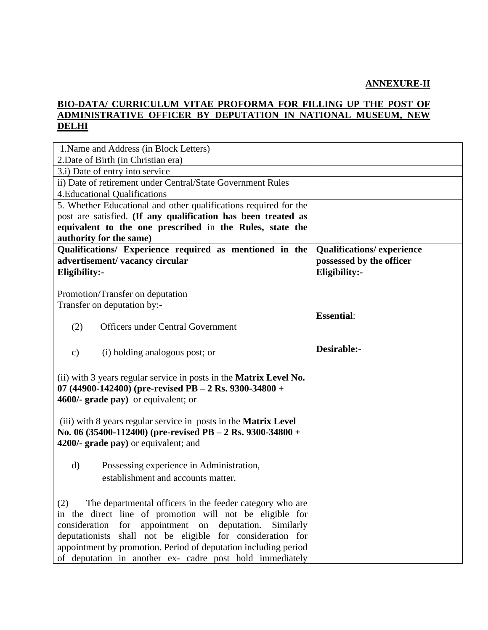#### **ANNEXURE-II**

### **BIO-DATA/ CURRICULUM VITAE PROFORMA FOR FILLING UP THE POST OF ADMINISTRATIVE OFFICER BY DEPUTATION IN NATIONAL MUSEUM, NEW DELHI**

| 1. Name and Address (in Block Letters)                                    |                                  |
|---------------------------------------------------------------------------|----------------------------------|
| 2. Date of Birth (in Christian era)                                       |                                  |
| 3.i) Date of entry into service                                           |                                  |
| ii) Date of retirement under Central/State Government Rules               |                                  |
| <b>4. Educational Qualifications</b>                                      |                                  |
| 5. Whether Educational and other qualifications required for the          |                                  |
| post are satisfied. (If any qualification has been treated as             |                                  |
| equivalent to the one prescribed in the Rules, state the                  |                                  |
| authority for the same)                                                   |                                  |
| Qualifications/ Experience required as mentioned in the                   | <b>Qualifications/experience</b> |
| advertisement/vacancy circular                                            | possessed by the officer         |
| Eligibility:-                                                             | Eligibility:-                    |
|                                                                           |                                  |
| Promotion/Transfer on deputation                                          |                                  |
| Transfer on deputation by:-                                               |                                  |
|                                                                           | <b>Essential:</b>                |
| <b>Officers under Central Government</b><br>(2)                           |                                  |
|                                                                           |                                  |
| (i) holding analogous post; or<br>$\mathbf{c})$                           | Desirable:-                      |
|                                                                           |                                  |
| (ii) with 3 years regular service in posts in the <b>Matrix Level No.</b> |                                  |
| 07 (44900-142400) (pre-revised PB - 2 Rs. 9300-34800 +                    |                                  |
| 4600/- grade pay) or equivalent; or                                       |                                  |
|                                                                           |                                  |
| (iii) with 8 years regular service in posts in the <b>Matrix Level</b>    |                                  |
| No. 06 (35400-112400) (pre-revised PB – 2 Rs. 9300-34800 +                |                                  |
| 4200/- grade pay) or equivalent; and                                      |                                  |
|                                                                           |                                  |
| $\rm d)$<br>Possessing experience in Administration,                      |                                  |
| establishment and accounts matter.                                        |                                  |
|                                                                           |                                  |
| The departmental officers in the feeder category who are<br>(2)           |                                  |
| in the direct line of promotion will not be eligible for                  |                                  |
| consideration<br>for appointment on deputation. Similarly                 |                                  |
| deputationists shall not be eligible for consideration for                |                                  |
| appointment by promotion. Period of deputation including period           |                                  |
| of deputation in another ex- cadre post hold immediately                  |                                  |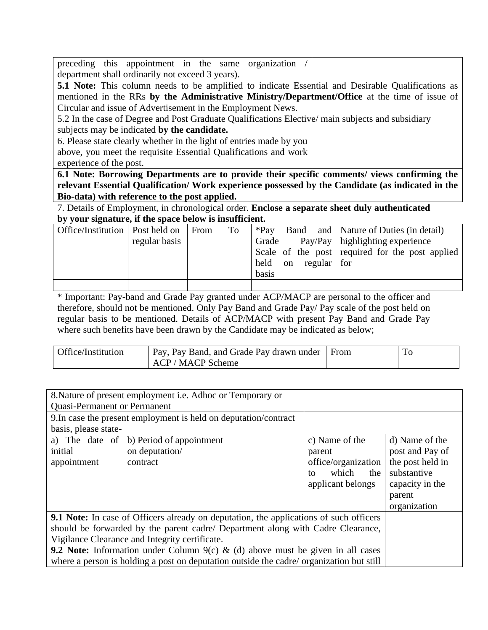|                                                  |  |  |  |  |  | preceding this appointment in the same organization |  |  |
|--------------------------------------------------|--|--|--|--|--|-----------------------------------------------------|--|--|
| department shall ordinarily not exceed 3 years). |  |  |  |  |  |                                                     |  |  |

**5.1 Note:** This column needs to be amplified to indicate Essential and Desirable Qualifications as mentioned in the RRs **by the Administrative Ministry/Department/Office** at the time of issue of Circular and issue of Advertisement in the Employment News.

5.2 In the case of Degree and Post Graduate Qualifications Elective/ main subjects and subsidiary

subjects may be indicated **by the candidate.**

6. Please state clearly whether in the light of entries made by you above, you meet the requisite Essential Qualifications and work

experience of the post.

**6.1 Note: Borrowing Departments are to provide their specific comments/ views confirming the relevant Essential Qualification/ Work experience possessed by the Candidate (as indicated in the Bio-data) with reference to the post applied.**

7. Details of Employment, in chronological order. **Enclose a separate sheet duly authenticated by your signature, if the space below is insufficient.**

| Office/Institution   Post held on |               | From | T <sub>o</sub> | $*Pav$                               | Band and   Nature of Duties (in detail)         |
|-----------------------------------|---------------|------|----------------|--------------------------------------|-------------------------------------------------|
|                                   | regular basis |      |                | Grade                                | Pay/Pay   highlighting experience               |
|                                   |               |      |                |                                      | Scale of the post required for the post applied |
|                                   |               |      |                | regular for<br>held<br><sub>on</sub> |                                                 |
|                                   |               |      |                | basis                                |                                                 |
|                                   |               |      |                |                                      |                                                 |

\* Important: Pay-band and Grade Pay granted under ACP/MACP are personal to the officer and therefore, should not be mentioned. Only Pay Band and Grade Pay/ Pay scale of the post held on regular basis to be mentioned. Details of ACP/MACP with present Pay Band and Grade Pay where such benefits have been drawn by the Candidate may be indicated as below;

| Office/Institution | Pay, Pay Band, and Grade Pay drawn under From | 10 |
|--------------------|-----------------------------------------------|----|
|                    | $ACP/MACP$ Scheme                             |    |

| 8. Nature of present employment i.e. Adhoc or Temporary or                                    |                                                                  |                     |                  |
|-----------------------------------------------------------------------------------------------|------------------------------------------------------------------|---------------------|------------------|
| <b>Quasi-Permanent or Permanent</b>                                                           |                                                                  |                     |                  |
|                                                                                               | 9. In case the present employment is held on deputation/contract |                     |                  |
| basis, please state-                                                                          |                                                                  |                     |                  |
|                                                                                               | a) The date of $\vert b \rangle$ Period of appointment           | c) Name of the      | d) Name of the   |
| initial                                                                                       | on deputation/                                                   | parent              | post and Pay of  |
| appointment                                                                                   | contract                                                         | office/organization | the post held in |
|                                                                                               |                                                                  | which<br>the<br>to  | substantive      |
|                                                                                               |                                                                  | applicant belongs   | capacity in the  |
|                                                                                               |                                                                  |                     | parent           |
|                                                                                               |                                                                  |                     | organization     |
| <b>9.1 Note:</b> In case of Officers already on deputation, the applications of such officers |                                                                  |                     |                  |
| should be forwarded by the parent cadre/ Department along with Cadre Clearance,               |                                                                  |                     |                  |
| Vigilance Clearance and Integrity certificate.                                                |                                                                  |                     |                  |
| <b>9.2 Note:</b> Information under Column 9(c) & (d) above must be given in all cases         |                                                                  |                     |                  |
| where a person is holding a post on deputation outside the cadre/ organization but still      |                                                                  |                     |                  |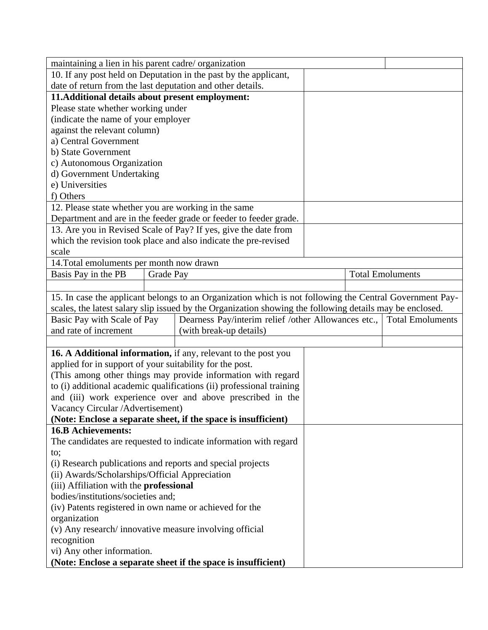| maintaining a lien in his parent cadre/organization                    |           |                                                                                                                                    |                         |                         |  |
|------------------------------------------------------------------------|-----------|------------------------------------------------------------------------------------------------------------------------------------|-------------------------|-------------------------|--|
| 10. If any post held on Deputation in the past by the applicant,       |           |                                                                                                                                    |                         |                         |  |
| date of return from the last deputation and other details.             |           |                                                                                                                                    |                         |                         |  |
| 11. Additional details about present employment:                       |           |                                                                                                                                    |                         |                         |  |
| Please state whether working under                                     |           |                                                                                                                                    |                         |                         |  |
| (indicate the name of your employer                                    |           |                                                                                                                                    |                         |                         |  |
| against the relevant column)                                           |           |                                                                                                                                    |                         |                         |  |
| a) Central Government                                                  |           |                                                                                                                                    |                         |                         |  |
| b) State Government                                                    |           |                                                                                                                                    |                         |                         |  |
| c) Autonomous Organization                                             |           |                                                                                                                                    |                         |                         |  |
| d) Government Undertaking                                              |           |                                                                                                                                    |                         |                         |  |
| e) Universities                                                        |           |                                                                                                                                    |                         |                         |  |
| f) Others                                                              |           |                                                                                                                                    |                         |                         |  |
| 12. Please state whether you are working in the same                   |           |                                                                                                                                    |                         |                         |  |
|                                                                        |           | Department and are in the feeder grade or feeder to feeder grade.                                                                  |                         |                         |  |
|                                                                        |           | 13. Are you in Revised Scale of Pay? If yes, give the date from<br>which the revision took place and also indicate the pre-revised |                         |                         |  |
| scale                                                                  |           |                                                                                                                                    |                         |                         |  |
| 14. Total emoluments per month now drawn                               |           |                                                                                                                                    |                         |                         |  |
| Basis Pay in the PB                                                    | Grade Pay |                                                                                                                                    |                         |                         |  |
|                                                                        |           |                                                                                                                                    | <b>Total Emoluments</b> |                         |  |
|                                                                        |           | 15. In case the applicant belongs to an Organization which is not following the Central Government Pay-                            |                         |                         |  |
|                                                                        |           | scales, the latest salary slip issued by the Organization showing the following details may be enclosed.                           |                         |                         |  |
| Basic Pay with Scale of Pay                                            |           | Dearness Pay/interim relief /other Allowances etc.,                                                                                |                         | <b>Total Emoluments</b> |  |
| and rate of increment                                                  |           | (with break-up details)                                                                                                            |                         |                         |  |
|                                                                        |           |                                                                                                                                    |                         |                         |  |
|                                                                        |           | 16. A Additional information, if any, relevant to the post you                                                                     |                         |                         |  |
| applied for in support of your suitability for the post.               |           |                                                                                                                                    |                         |                         |  |
|                                                                        |           | (This among other things may provide information with regard                                                                       |                         |                         |  |
|                                                                        |           | to (i) additional academic qualifications (ii) professional training                                                               |                         |                         |  |
|                                                                        |           | and (iii) work experience over and above prescribed in the                                                                         |                         |                         |  |
| Vacancy Circular / Advertisement)                                      |           |                                                                                                                                    |                         |                         |  |
|                                                                        |           | (Note: Enclose a separate sheet, if the space is insufficient)                                                                     |                         |                         |  |
| <b>16.B Achievements:</b>                                              |           |                                                                                                                                    |                         |                         |  |
|                                                                        |           | The candidates are requested to indicate information with regard                                                                   |                         |                         |  |
| to;                                                                    |           |                                                                                                                                    |                         |                         |  |
| (i) Research publications and reports and special projects             |           |                                                                                                                                    |                         |                         |  |
| (ii) Awards/Scholarships/Official Appreciation                         |           |                                                                                                                                    |                         |                         |  |
| (iii) Affiliation with the professional                                |           |                                                                                                                                    |                         |                         |  |
| bodies/institutions/societies and;                                     |           |                                                                                                                                    |                         |                         |  |
| (iv) Patents registered in own name or achieved for the                |           |                                                                                                                                    |                         |                         |  |
| organization<br>(v) Any research/innovative measure involving official |           |                                                                                                                                    |                         |                         |  |
| recognition                                                            |           |                                                                                                                                    |                         |                         |  |
| vi) Any other information.                                             |           |                                                                                                                                    |                         |                         |  |
|                                                                        |           | (Note: Enclose a separate sheet if the space is insufficient)                                                                      |                         |                         |  |
|                                                                        |           |                                                                                                                                    |                         |                         |  |